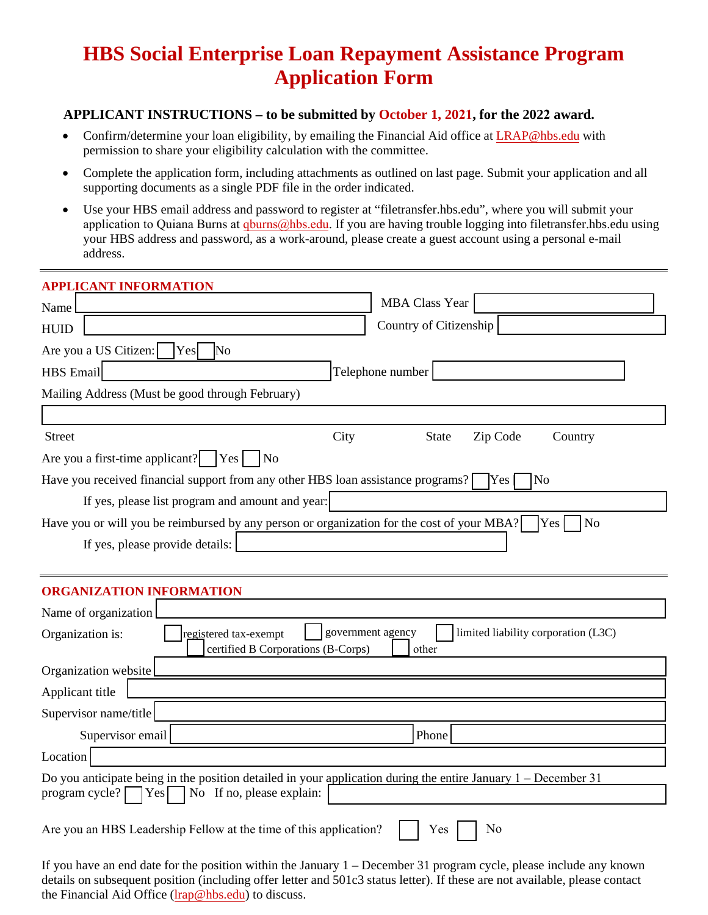# **HBS Social Enterprise Loan Repayment Assistance Program Application Form**

## **APPLICANT INSTRUCTIONS – to be submitted by October 1, 2021, for the 2022 award.**

- Confirm/determine your loan eligibility, by emailing the Financial Aid office at [LRAP@hbs.edu](mailto:LRAP@hbs.edu) with permission to share your eligibility calculation with the committee.
- Complete the application form, including attachments as outlined on last page. Submit your application and all supporting documents as a single PDF file in the order indicated.
- Use your HBS email address and password to register at "filetransfer.hbs.edu", where you will submit your [application to Qu](mailto:LRAP@hbs.edu)iana Burns at  $qblums@hbs.edu$ . If you are having trouble logging into filetransfer.hbs.edu using your HBS address and password, as a work-around, please create a guest account using a personal e-mail address.

| <b>APPLICANT INFORMATION</b>                                                                                                                                                  |                                                                                                                       |
|-------------------------------------------------------------------------------------------------------------------------------------------------------------------------------|-----------------------------------------------------------------------------------------------------------------------|
| Name                                                                                                                                                                          | <b>MBA Class Year</b>                                                                                                 |
| <b>HUID</b>                                                                                                                                                                   | Country of Citizenship                                                                                                |
| Are you a US Citizen:<br>Yes<br><b>No</b>                                                                                                                                     |                                                                                                                       |
| <b>HBS</b> Email                                                                                                                                                              | Telephone number                                                                                                      |
| Mailing Address (Must be good through February)                                                                                                                               |                                                                                                                       |
|                                                                                                                                                                               |                                                                                                                       |
| <b>Street</b>                                                                                                                                                                 | City<br><b>State</b><br>Zip Code<br>Country                                                                           |
| Are you a first-time applicant?   Yes<br>$\overline{N}$                                                                                                                       |                                                                                                                       |
| Have you received financial support from any other HBS loan assistance programs?                                                                                              | Yes<br>No                                                                                                             |
| If yes, please list program and amount and year:                                                                                                                              |                                                                                                                       |
| Have you or will you be reimbursed by any person or organization for the cost of your MBA?                                                                                    | Yes<br>N <sub>o</sub>                                                                                                 |
| If yes, please provide details:                                                                                                                                               |                                                                                                                       |
|                                                                                                                                                                               |                                                                                                                       |
| <b>ORGANIZATION INFORMATION</b>                                                                                                                                               |                                                                                                                       |
| Name of organization                                                                                                                                                          |                                                                                                                       |
| government agency<br>limited liability corporation (L3C)<br>Organization is:<br>registered tax-exempt                                                                         |                                                                                                                       |
| certified B Corporations (B-Corps)                                                                                                                                            | other                                                                                                                 |
| Organization website                                                                                                                                                          |                                                                                                                       |
| Applicant title                                                                                                                                                               |                                                                                                                       |
| Supervisor name/title                                                                                                                                                         |                                                                                                                       |
| Supervisor email                                                                                                                                                              | Phone                                                                                                                 |
| Location                                                                                                                                                                      |                                                                                                                       |
| Do you anticipate being in the position detailed in your application during the entire January $1 -$ December 31<br>program cycle?<br>No If no, please explain:<br><b>Yes</b> |                                                                                                                       |
| Are you an HBS Leadership Fellow at the time of this application?                                                                                                             | No<br>Yes                                                                                                             |
|                                                                                                                                                                               | If you have an end date for the position within the January $1 -$ December 31 program cycle, please include any known |

If you have an end date for the position within the January  $1$  – December 31 program cycle, please include any known details on subsequent position (including offer letter and 501c3 status letter). If these are not available, please contact the Financial Aid Office (lrap@hbs.edu) to discuss.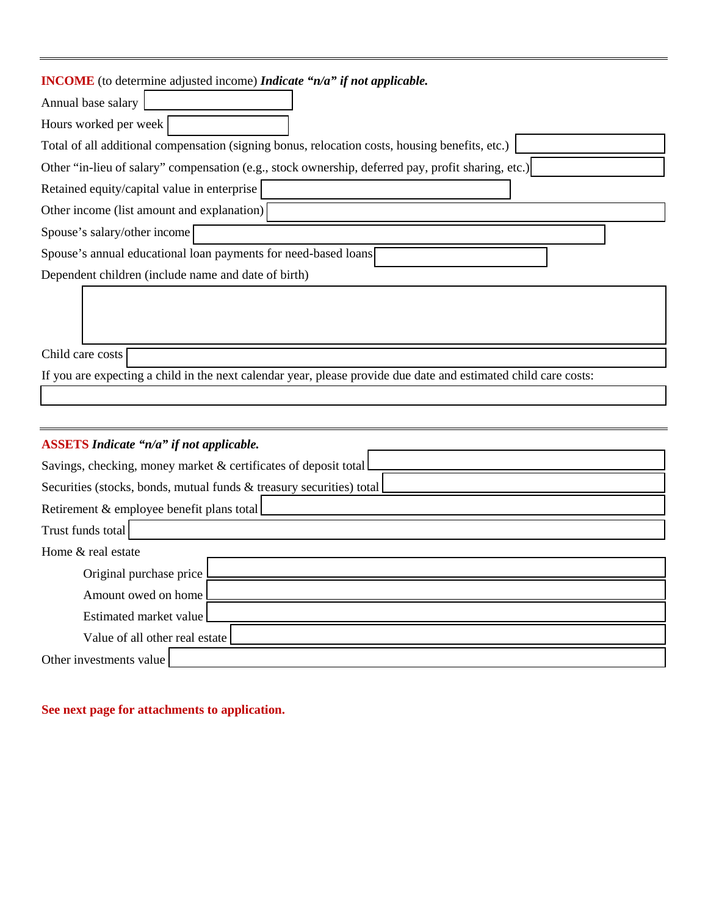## **INCOME** (to determine adjusted income) *Indicate "n/a" if not applicable.*

| Annual base salary                                                                                              |
|-----------------------------------------------------------------------------------------------------------------|
| Hours worked per week                                                                                           |
| Total of all additional compensation (signing bonus, relocation costs, housing benefits, etc.)                  |
| Other "in-lieu of salary" compensation (e.g., stock ownership, deferred pay, profit sharing, etc.)              |
| Retained equity/capital value in enterprise                                                                     |
| Other income (list amount and explanation)                                                                      |
| Spouse's salary/other income                                                                                    |
| Spouse's annual educational loan payments for need-based loans                                                  |
| Dependent children (include name and date of birth)                                                             |
|                                                                                                                 |
|                                                                                                                 |
|                                                                                                                 |
| Child care costs                                                                                                |
| If you are expecting a child in the next calendar year, please provide due date and estimated child care costs: |
|                                                                                                                 |

| <b>ASSETS</b> Indicate "n/a" if not applicable.                      |
|----------------------------------------------------------------------|
| Savings, checking, money market & certificates of deposit total      |
| Securities (stocks, bonds, mutual funds & treasury securities) total |
| Retirement & employee benefit plans total                            |
| Trust funds total                                                    |
| Home & real estate                                                   |
| Original purchase price                                              |
| Amount owed on home                                                  |
| Estimated market value                                               |
| Value of all other real estate                                       |
| Other investments value                                              |

# **See next page for attachments to application.**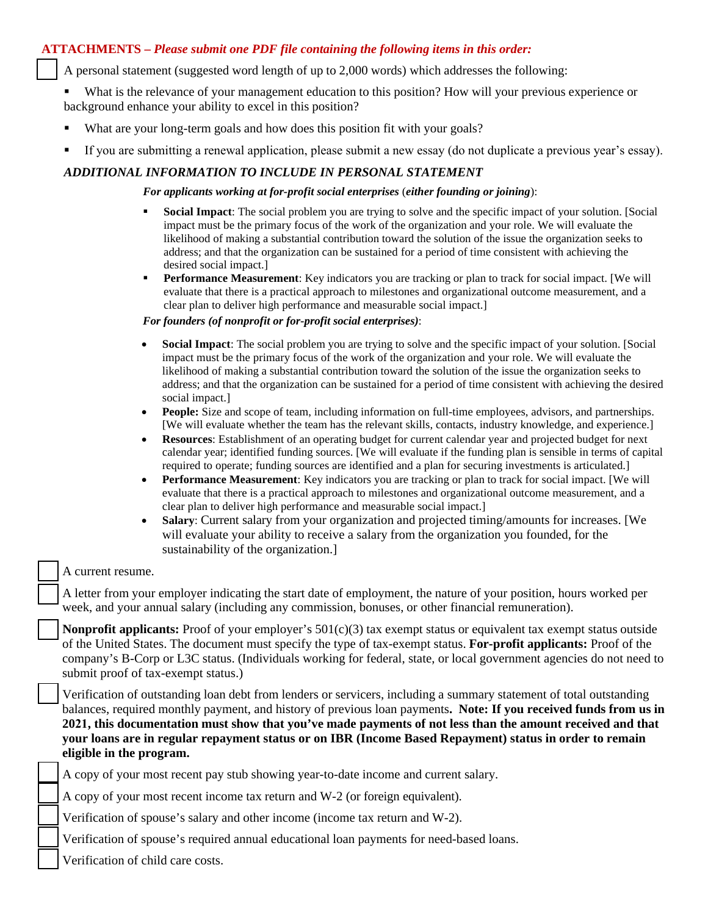## **ATTACHMENTS –** *Please submit one PDF file containing the following items in this order:*

- A personal statement (suggested word length of up to 2,000 words) which addresses the following:
- What is the relevance of your management education to this position? How will your previous experience or background enhance your ability to excel in this position?
- What are your long-term goals and how does this position fit with your goals?
- If you are submitting a renewal application, please submit a new essay (do not duplicate a previous year's essay).

## *ADDITIONAL INFORMATION TO INCLUDE IN PERSONAL STATEMENT*

#### *For applicants working at for-profit social enterprises* (*either founding or joining*):

- **Social Impact**: The social problem you are trying to solve and the specific impact of your solution. [Social impact must be the primary focus of the work of the organization and your role. We will evaluate the likelihood of making a substantial contribution toward the solution of the issue the organization seeks to address; and that the organization can be sustained for a period of time consistent with achieving the desired social impact.]
- **Performance Measurement**: Key indicators you are tracking or plan to track for social impact. [We will evaluate that there is a practical approach to milestones and organizational outcome measurement, and a clear plan to deliver high performance and measurable social impact.]

#### *For founders (of nonprofit or for-profit social enterprises)*:

- **Social Impact**: The social problem you are trying to solve and the specific impact of your solution. [Social impact must be the primary focus of the work of the organization and your role. We will evaluate the likelihood of making a substantial contribution toward the solution of the issue the organization seeks to address; and that the organization can be sustained for a period of time consistent with achieving the desired social impact.]
- **People:** Size and scope of team, including information on full-time employees, advisors, and partnerships. [We will evaluate whether the team has the relevant skills, contacts, industry knowledge, and experience.]
- **Resources**: Establishment of an operating budget for current calendar year and projected budget for next calendar year; identified funding sources. [We will evaluate if the funding plan is sensible in terms of capital required to operate; funding sources are identified and a plan for securing investments is articulated.]
- **Performance Measurement**: Key indicators you are tracking or plan to track for social impact. [We will evaluate that there is a practical approach to milestones and organizational outcome measurement, and a clear plan to deliver high performance and measurable social impact.]
- **Salary**: Current salary from your organization and projected timing/amounts for increases. [We will evaluate your ability to receive a salary from the organization you founded, for the sustainability of the organization.]

#### A current resume.

 A letter from your employer indicating the start date of employment, the nature of your position, hours worked per week, and your annual salary (including any commission, bonuses, or other financial remuneration).

**Nonprofit applicants:** Proof of your employer's 501(c)(3) tax exempt status or equivalent tax exempt status outside of the United States. The document must specify the type of tax-exempt status. **For-profit applicants:** Proof of the company's B-Corp or L3C status. (Individuals working for federal, state, or local government agencies do not need to submit proof of tax-exempt status.)

 Verification of outstanding loan debt from lenders or servicers, including a summary statement of total outstanding balances, required monthly payment, and history of previous loan payments**. Note: If you received funds from us in 2021, this documentation must show that you've made payments of not less than the amount received and that your loans are in regular repayment status or on IBR (Income Based Repayment) status in order to remain eligible in the program.**

A copy of your most recent pay stub showing year-to-date income and current salary.

A copy of your most recent income tax return and W-2 (or foreign equivalent).

Verification of spouse's salary and other income (income tax return and W-2).

Verification of spouse's required annual educational loan payments for need-based loans.

Verification of child care costs.